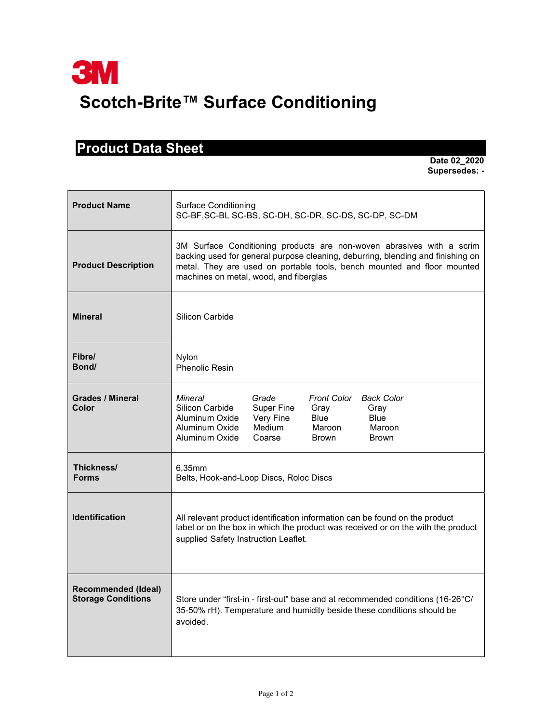## Product Data Sheet

 Date 02\_2020 Supersedes: -

| <b>Product Name</b>                                     | <b>Surface Conditioning</b><br>SC-BF, SC-BL SC-BS, SC-DH, SC-DR, SC-DS, SC-DP, SC-DM                                                                                                                                                                                           |
|---------------------------------------------------------|--------------------------------------------------------------------------------------------------------------------------------------------------------------------------------------------------------------------------------------------------------------------------------|
| <b>Product Description</b>                              | 3M Surface Conditioning products are non-woven abrasives with a scrim<br>backing used for general purpose cleaning, deburring, blending and finishing on<br>metal. They are used on portable tools, bench mounted and floor mounted<br>machines on metal, wood, and fiberglas  |
| <b>Mineral</b>                                          | Silicon Carbide                                                                                                                                                                                                                                                                |
| Fibre/<br>Bond/                                         | Nylon<br><b>Phenolic Resin</b>                                                                                                                                                                                                                                                 |
| <b>Grades / Mineral</b><br>Color                        | Grade<br>Mineral<br>Front Color<br><b>Back Color</b><br>Silicon Carbide<br><b>Super Fine</b><br>Gray<br>Gray<br>Very Fine<br><b>Blue</b><br><b>Blue</b><br>Aluminum Oxide<br>Aluminum Oxide<br>Medium<br>Maroon<br>Maroon<br>Aluminum Oxide<br>Coarse<br>Brown<br><b>Brown</b> |
| Thickness/<br><b>Forms</b>                              | 6.35mm<br>Belts, Hook-and-Loop Discs, Roloc Discs                                                                                                                                                                                                                              |
| <b>Identification</b>                                   | All relevant product identification information can be found on the product<br>label or on the box in which the product was received or on the with the product<br>supplied Safety Instruction Leaflet.                                                                        |
| <b>Recommended (Ideal)</b><br><b>Storage Conditions</b> | Store under "first-in - first-out" base and at recommended conditions (16-26°C/<br>35-50% rH). Temperature and humidity beside these conditions should be<br>avoided.                                                                                                          |